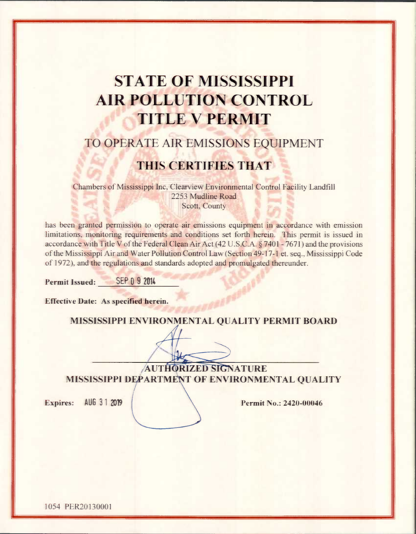# **STATE OF MISSISSIPPI AIR POLLUTION CONTROL TITLE V PERMIT**

# TO OPERATE AIR EMISSIONS EOUIPMENT

# THIS CERTIFIES THAT

Chambers of Mississippi Inc, Clearview Environmental Control Facility Landfill 2253 Mudline Road Scott, County

has been granted permission to operate air emissions equipment in accordance with emission limitations, monitoring requirements and conditions set forth herein. This permit is issued in accordance with Title V of the Federal Clean Air Act (42 U.S.C.A. § 7401 - 7671) and the provisions of the Mississippi Air and Water Pollution Control Law (Section 49-17-1 et. seq., Mississippi Code of 1972), and the regulations and standards adopted and promulgated thereunder.

Permit Issued: SEP 0 9 2014

**Effective Date: As specified herein.** 

### MISSISSIPPI ENVIRONMENTAL QUALITY PERMIT BOARD

# **AUTHORIZED SIGNATURE** MISSISSIPPI DEPARTMENT OF ENVIRONMENTAL QUALITY

AUG 3 1 2019 **Expires:** 

**Permit No.: 2420-00046**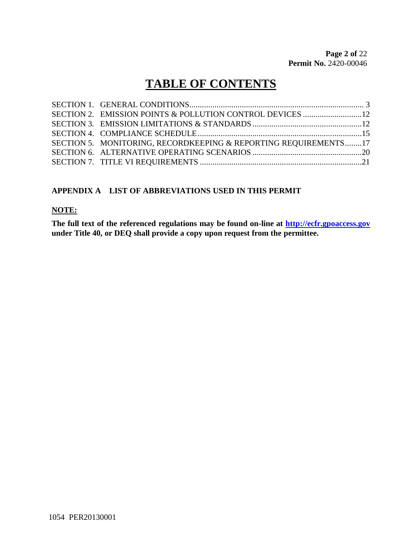# **TABLE OF CONTENTS**

| SECTION 5. MONITORING, RECORDKEEPING & REPORTING REQUIREMENTS17 |  |
|-----------------------------------------------------------------|--|
|                                                                 |  |
|                                                                 |  |

### **APPENDIX A LIST OF ABBREVIATIONS USED IN THIS PERMIT**

#### **NOTE:**

**The full text of the referenced regulations may be found on-line at http://ecfr.gpoaccess.gov under Title 40, or DEQ shall provide a copy upon request from the permittee.**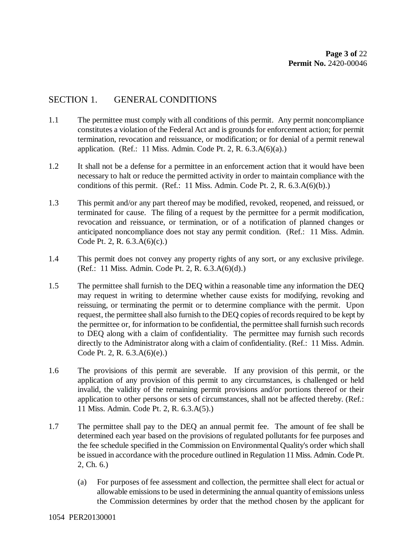# SECTION 1. GENERAL CONDITIONS

- 1.1 The permittee must comply with all conditions of this permit. Any permit noncompliance constitutes a violation of the Federal Act and is grounds for enforcement action; for permit termination, revocation and reissuance, or modification; or for denial of a permit renewal application. (Ref.: 11 Miss. Admin. Code Pt. 2, R.  $6.3.A(6)(a)$ .)
- 1.2 It shall not be a defense for a permittee in an enforcement action that it would have been necessary to halt or reduce the permitted activity in order to maintain compliance with the conditions of this permit. (Ref.: 11 Miss. Admin. Code Pt. 2, R. 6.3.A(6)(b).)
- 1.3 This permit and/or any part thereof may be modified, revoked, reopened, and reissued, or terminated for cause. The filing of a request by the permittee for a permit modification, revocation and reissuance, or termination, or of a notification of planned changes or anticipated noncompliance does not stay any permit condition. (Ref.: 11 Miss. Admin. Code Pt. 2, R. 6.3.A(6)(c).)
- 1.4 This permit does not convey any property rights of any sort, or any exclusive privilege. (Ref.: 11 Miss. Admin. Code Pt. 2, R. 6.3.A(6)(d).)
- 1.5 The permittee shall furnish to the DEQ within a reasonable time any information the DEQ may request in writing to determine whether cause exists for modifying, revoking and reissuing, or terminating the permit or to determine compliance with the permit. Upon request, the permittee shall also furnish to the DEQ copies of records required to be kept by the permittee or, for information to be confidential, the permittee shall furnish such records to DEQ along with a claim of confidentiality. The permittee may furnish such records directly to the Administrator along with a claim of confidentiality. (Ref.: 11 Miss. Admin. Code Pt. 2, R. 6.3.A(6)(e).)
- 1.6 The provisions of this permit are severable. If any provision of this permit, or the application of any provision of this permit to any circumstances, is challenged or held invalid, the validity of the remaining permit provisions and/or portions thereof or their application to other persons or sets of circumstances, shall not be affected thereby. (Ref.: 11 Miss. Admin. Code Pt. 2, R. 6.3.A(5).)
- 1.7 The permittee shall pay to the DEQ an annual permit fee. The amount of fee shall be determined each year based on the provisions of regulated pollutants for fee purposes and the fee schedule specified in the Commission on Environmental Quality's order which shall be issued in accordance with the procedure outlined in Regulation 11 Miss. Admin. Code Pt. 2, Ch. 6.)
	- (a) For purposes of fee assessment and collection, the permittee shall elect for actual or allowable emissions to be used in determining the annual quantity of emissions unless the Commission determines by order that the method chosen by the applicant for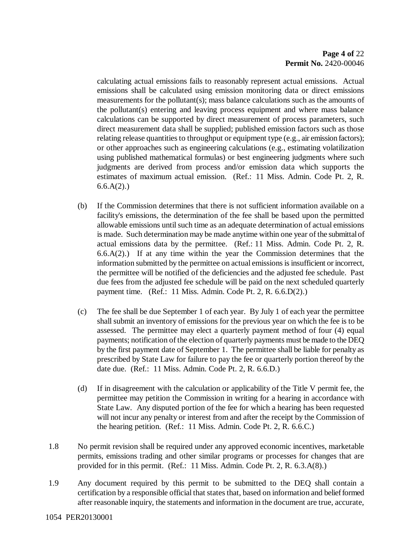calculating actual emissions fails to reasonably represent actual emissions. Actual emissions shall be calculated using emission monitoring data or direct emissions measurements for the pollutant(s); mass balance calculations such as the amounts of the pollutant(s) entering and leaving process equipment and where mass balance calculations can be supported by direct measurement of process parameters, such direct measurement data shall be supplied; published emission factors such as those relating release quantities to throughput or equipment type (e.g., air emission factors); or other approaches such as engineering calculations (e.g., estimating volatilization using published mathematical formulas) or best engineering judgments where such judgments are derived from process and/or emission data which supports the estimates of maximum actual emission. (Ref.: 11 Miss. Admin. Code Pt. 2, R.  $6.6.A(2)$ .

- (b) If the Commission determines that there is not sufficient information available on a facility's emissions, the determination of the fee shall be based upon the permitted allowable emissions until such time as an adequate determination of actual emissions is made. Such determination may be made anytime within one year of the submittal of actual emissions data by the permittee. (Ref.: 11 Miss. Admin. Code Pt. 2, R.  $6.6(A(2))$  If at any time within the year the Commission determines that the information submitted by the permittee on actual emissions is insufficient or incorrect, the permittee will be notified of the deficiencies and the adjusted fee schedule. Past due fees from the adjusted fee schedule will be paid on the next scheduled quarterly payment time. (Ref.: 11 Miss. Admin. Code Pt. 2, R. 6.6.D(2).)
- (c) The fee shall be due September 1 of each year. By July 1 of each year the permittee shall submit an inventory of emissions for the previous year on which the fee is to be assessed. The permittee may elect a quarterly payment method of four (4) equal payments; notification of the election of quarterly payments must be made to the DEQ by the first payment date of September 1. The permittee shall be liable for penalty as prescribed by State Law for failure to pay the fee or quarterly portion thereof by the date due. (Ref.: 11 Miss. Admin. Code Pt. 2, R. 6.6.D.)
- (d) If in disagreement with the calculation or applicability of the Title V permit fee, the permittee may petition the Commission in writing for a hearing in accordance with State Law. Any disputed portion of the fee for which a hearing has been requested will not incur any penalty or interest from and after the receipt by the Commission of the hearing petition. (Ref.: 11 Miss. Admin. Code Pt. 2, R. 6.6.C.)
- 1.8 No permit revision shall be required under any approved economic incentives, marketable permits, emissions trading and other similar programs or processes for changes that are provided for in this permit. (Ref.: 11 Miss. Admin. Code Pt. 2, R. 6.3.A(8).)
- 1.9 Any document required by this permit to be submitted to the DEQ shall contain a certification by a responsible official that states that, based on information and belief formed after reasonable inquiry, the statements and information in the document are true, accurate,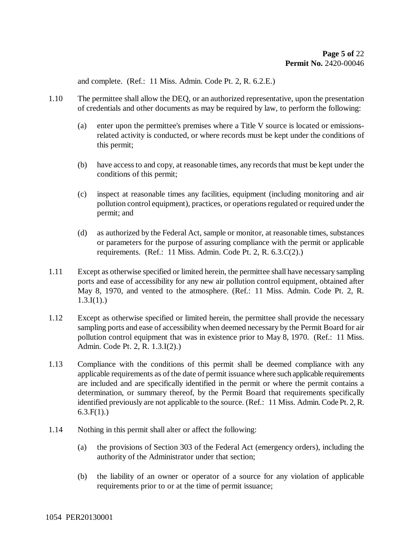and complete. (Ref.: 11 Miss. Admin. Code Pt. 2, R. 6.2.E.)

- 1.10 The permittee shall allow the DEQ, or an authorized representative, upon the presentation of credentials and other documents as may be required by law, to perform the following:
	- (a) enter upon the permittee's premises where a Title V source is located or emissionsrelated activity is conducted, or where records must be kept under the conditions of this permit;
	- (b) have accessto and copy, at reasonable times, any records that must be kept under the conditions of this permit;
	- (c) inspect at reasonable times any facilities, equipment (including monitoring and air pollution control equipment), practices, or operations regulated or required under the permit; and
	- (d) as authorized by the Federal Act, sample or monitor, at reasonable times, substances or parameters for the purpose of assuring compliance with the permit or applicable requirements. (Ref.: 11 Miss. Admin. Code Pt. 2, R. 6.3.C(2).)
- 1.11 Except as otherwise specified or limited herein, the permittee shall have necessary sampling ports and ease of accessibility for any new air pollution control equipment, obtained after May 8, 1970, and vented to the atmosphere. (Ref.: 11 Miss. Admin. Code Pt. 2, R.  $1.3.I(1).$
- 1.12 Except as otherwise specified or limited herein, the permittee shall provide the necessary sampling ports and ease of accessibility when deemed necessary by the Permit Board for air pollution control equipment that was in existence prior to May 8, 1970. (Ref.: 11 Miss. Admin. Code Pt. 2, R. 1.3.I(2).)
- 1.13 Compliance with the conditions of this permit shall be deemed compliance with any applicable requirements as of the date of permit issuance where such applicable requirements are included and are specifically identified in the permit or where the permit contains a determination, or summary thereof, by the Permit Board that requirements specifically identified previously are not applicable to the source. (Ref.: 11 Miss. Admin. Code Pt. 2, R.  $6.3.F(1)$ .)
- 1.14 Nothing in this permit shall alter or affect the following:
	- (a) the provisions of Section 303 of the Federal Act (emergency orders), including the authority of the Administrator under that section;
	- (b) the liability of an owner or operator of a source for any violation of applicable requirements prior to or at the time of permit issuance;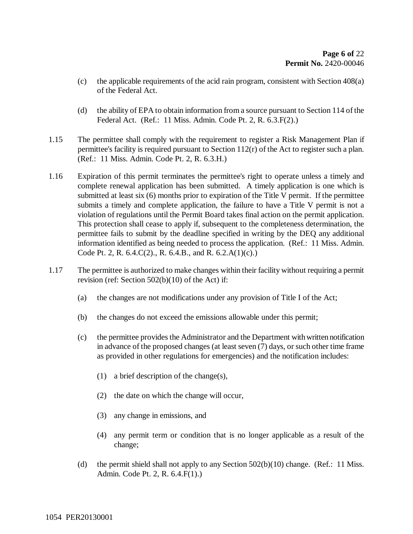- (c) the applicable requirements of the acid rain program, consistent with Section 408(a) of the Federal Act.
- (d) the ability of EPA to obtain information from a source pursuant to Section 114 of the Federal Act. (Ref.: 11 Miss. Admin. Code Pt. 2, R. 6.3.F(2).)
- 1.15 The permittee shall comply with the requirement to register a Risk Management Plan if permittee's facility is required pursuant to Section 112(r) of the Act to register such a plan. (Ref.: 11 Miss. Admin. Code Pt. 2, R. 6.3.H.)
- 1.16 Expiration of this permit terminates the permittee's right to operate unless a timely and complete renewal application has been submitted. A timely application is one which is submitted at least six (6) months prior to expiration of the Title V permit. If the permittee submits a timely and complete application, the failure to have a Title V permit is not a violation of regulations until the Permit Board takes final action on the permit application. This protection shall cease to apply if, subsequent to the completeness determination, the permittee fails to submit by the deadline specified in writing by the DEQ any additional information identified as being needed to process the application. (Ref.: 11 Miss. Admin. Code Pt. 2, R. 6.4.C(2)., R. 6.4.B., and R. 6.2.A(1)(c).)
- 1.17 The permittee is authorized to make changes within their facility without requiring a permit revision (ref: Section 502(b)(10) of the Act) if:
	- (a) the changes are not modifications under any provision of Title I of the Act;
	- (b) the changes do not exceed the emissions allowable under this permit;
	- (c) the permittee provides the Administrator and the Department with written notification in advance of the proposed changes (at least seven (7) days, or such other time frame as provided in other regulations for emergencies) and the notification includes:
		- (1) a brief description of the change(s),
		- (2) the date on which the change will occur,
		- (3) any change in emissions, and
		- (4) any permit term or condition that is no longer applicable as a result of the change;
	- (d) the permit shield shall not apply to any Section 502(b)(10) change. (Ref.: 11 Miss. Admin. Code Pt. 2, R. 6.4.F(1).)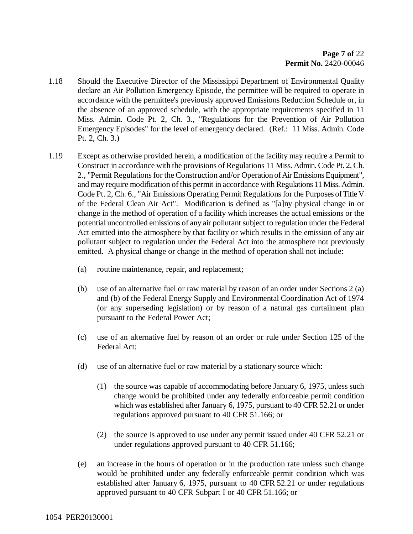- 1.18 Should the Executive Director of the Mississippi Department of Environmental Quality declare an Air Pollution Emergency Episode, the permittee will be required to operate in accordance with the permittee's previously approved Emissions Reduction Schedule or, in the absence of an approved schedule, with the appropriate requirements specified in 11 Miss. Admin. Code Pt. 2, Ch. 3., "Regulations for the Prevention of Air Pollution Emergency Episodes" for the level of emergency declared. (Ref.: 11 Miss. Admin. Code Pt. 2, Ch. 3.)
- 1.19 Except as otherwise provided herein, a modification of the facility may require a Permit to Construct in accordance with the provisions of Regulations 11 Miss. Admin. Code Pt. 2, Ch. 2., "Permit Regulations for the Construction and/or Operation of Air Emissions Equipment", and may require modification of this permit in accordance with Regulations 11 Miss. Admin. Code Pt. 2, Ch. 6., "Air Emissions Operating Permit Regulations for the Purposes of Title V of the Federal Clean Air Act". Modification is defined as "[a]ny physical change in or change in the method of operation of a facility which increases the actual emissions or the potential uncontrolled emissions of any air pollutant subject to regulation under the Federal Act emitted into the atmosphere by that facility or which results in the emission of any air pollutant subject to regulation under the Federal Act into the atmosphere not previously emitted. A physical change or change in the method of operation shall not include:
	- (a) routine maintenance, repair, and replacement;
	- (b) use of an alternative fuel or raw material by reason of an order under Sections 2 (a) and (b) of the Federal Energy Supply and Environmental Coordination Act of 1974 (or any superseding legislation) or by reason of a natural gas curtailment plan pursuant to the Federal Power Act;
	- (c) use of an alternative fuel by reason of an order or rule under Section 125 of the Federal Act;
	- (d) use of an alternative fuel or raw material by a stationary source which:
		- (1) the source was capable of accommodating before January 6, 1975, unless such change would be prohibited under any federally enforceable permit condition which was established after January 6, 1975, pursuant to 40 CFR 52.21 or under regulations approved pursuant to 40 CFR 51.166; or
		- (2) the source is approved to use under any permit issued under 40 CFR 52.21 or under regulations approved pursuant to 40 CFR 51.166;
	- (e) an increase in the hours of operation or in the production rate unless such change would be prohibited under any federally enforceable permit condition which was established after January 6, 1975, pursuant to 40 CFR 52.21 or under regulations approved pursuant to 40 CFR Subpart I or 40 CFR 51.166; or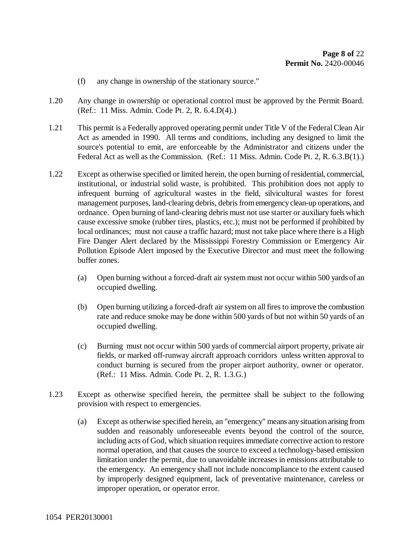- (f) any change in ownership of the stationary source."
- 1.20 Any change in ownership or operational control must be approved by the Permit Board. (Ref.: 11 Miss. Admin. Code Pt. 2, R. 6.4.D(4).)
- 1.21 This permit is a Federally approved operating permit under Title V of the Federal Clean Air Act as amended in 1990. All terms and conditions, including any designed to limit the source's potential to emit, are enforceable by the Administrator and citizens under the Federal Act as well as the Commission. (Ref.: 11 Miss. Admin. Code Pt. 2, R. 6.3.B(1).)
- 1.22 Except as otherwise specified or limited herein, the open burning of residential, commercial, institutional, or industrial solid waste, is prohibited. This prohibition does not apply to infrequent burning of agricultural wastes in the field, silvicultural wastes for forest management purposes, land-clearing debris, debris from emergency clean-up operations, and ordnance. Open burning of land-clearing debris must not use starter or auxiliary fuels which cause excessive smoke (rubber tires, plastics, etc.); must not be performed if prohibited by local ordinances; must not cause a traffic hazard; must not take place where there is a High Fire Danger Alert declared by the Mississippi Forestry Commission or Emergency Air Pollution Episode Alert imposed by the Executive Director and must meet the following buffer zones.
	- (a) Open burning without a forced-draft air system must not occur within 500 yards of an occupied dwelling.
	- (b) Open burning utilizing a forced-draft air system on all fires to improve the combustion rate and reduce smoke may be done within 500 yards of but not within 50 yards of an occupied dwelling.
	- (c) Burning must not occur within 500 yards of commercial airport property, private air fields, or marked off-runway aircraft approach corridors unless written approval to conduct burning is secured from the proper airport authority, owner or operator. (Ref.: 11 Miss. Admin. Code Pt. 2, R. 1.3.G.)
- 1.23 Except as otherwise specified herein, the permittee shall be subject to the following provision with respect to emergencies.
	- (a) Except as otherwise specified herein, an "emergency" means any situation arising from sudden and reasonably unforeseeable events beyond the control of the source, including acts of God, which situation requires immediate corrective action to restore normal operation, and that causes the source to exceed a technology-based emission limitation under the permit, due to unavoidable increases in emissions attributable to the emergency. An emergency shall not include noncompliance to the extent caused by improperly designed equipment, lack of preventative maintenance, careless or improper operation, or operator error.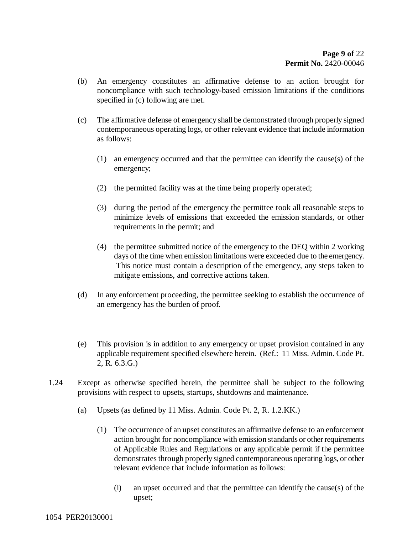- (b) An emergency constitutes an affirmative defense to an action brought for noncompliance with such technology-based emission limitations if the conditions specified in (c) following are met.
- (c) The affirmative defense of emergency shall be demonstrated through properly signed contemporaneous operating logs, or other relevant evidence that include information as follows:
	- (1) an emergency occurred and that the permittee can identify the cause(s) of the emergency;
	- (2) the permitted facility was at the time being properly operated;
	- (3) during the period of the emergency the permittee took all reasonable steps to minimize levels of emissions that exceeded the emission standards, or other requirements in the permit; and
	- (4) the permittee submitted notice of the emergency to the DEQ within 2 working days of the time when emission limitations were exceeded due to the emergency. This notice must contain a description of the emergency, any steps taken to mitigate emissions, and corrective actions taken.
- (d) In any enforcement proceeding, the permittee seeking to establish the occurrence of an emergency has the burden of proof.
- (e) This provision is in addition to any emergency or upset provision contained in any applicable requirement specified elsewhere herein. (Ref.: 11 Miss. Admin. Code Pt. 2, R. 6.3.G.)
- 1.24 Except as otherwise specified herein, the permittee shall be subject to the following provisions with respect to upsets, startups, shutdowns and maintenance.
	- (a) Upsets (as defined by 11 Miss. Admin. Code Pt. 2, R. 1.2.KK.)
		- (1) The occurrence of an upset constitutes an affirmative defense to an enforcement action brought for noncompliance with emission standards or other requirements of Applicable Rules and Regulations or any applicable permit if the permittee demonstrates through properly signed contemporaneous operating logs, or other relevant evidence that include information as follows:
			- (i) an upset occurred and that the permittee can identify the cause(s) of the upset;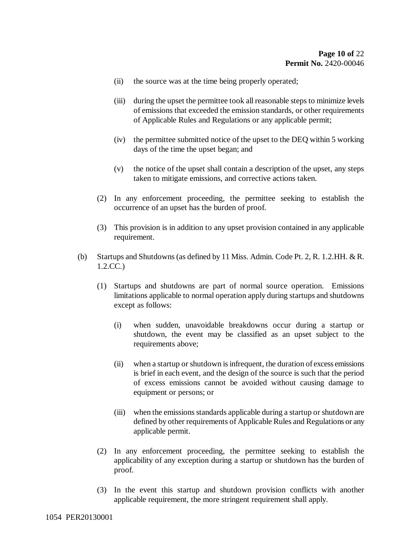- (ii) the source was at the time being properly operated;
- (iii) during the upset the permittee took all reasonable steps to minimize levels of emissions that exceeded the emission standards, or other requirements of Applicable Rules and Regulations or any applicable permit;
- (iv) the permittee submitted notice of the upset to the DEQ within 5 working days of the time the upset began; and
- (v) the notice of the upset shall contain a description of the upset, any steps taken to mitigate emissions, and corrective actions taken.
- (2) In any enforcement proceeding, the permittee seeking to establish the occurrence of an upset has the burden of proof.
- (3) This provision is in addition to any upset provision contained in any applicable requirement.
- (b) Startups and Shutdowns (as defined by 11 Miss. Admin. Code Pt. 2, R. 1.2.HH. & R. 1.2.CC.)
	- (1) Startups and shutdowns are part of normal source operation. Emissions limitations applicable to normal operation apply during startups and shutdowns except as follows:
		- (i) when sudden, unavoidable breakdowns occur during a startup or shutdown, the event may be classified as an upset subject to the requirements above;
		- (ii) when a startup or shutdown is infrequent, the duration of excess emissions is brief in each event, and the design of the source is such that the period of excess emissions cannot be avoided without causing damage to equipment or persons; or
		- (iii) when the emissions standards applicable during a startup or shutdown are defined by other requirements of Applicable Rules and Regulations or any applicable permit.
	- (2) In any enforcement proceeding, the permittee seeking to establish the applicability of any exception during a startup or shutdown has the burden of proof.
	- (3) In the event this startup and shutdown provision conflicts with another applicable requirement, the more stringent requirement shall apply.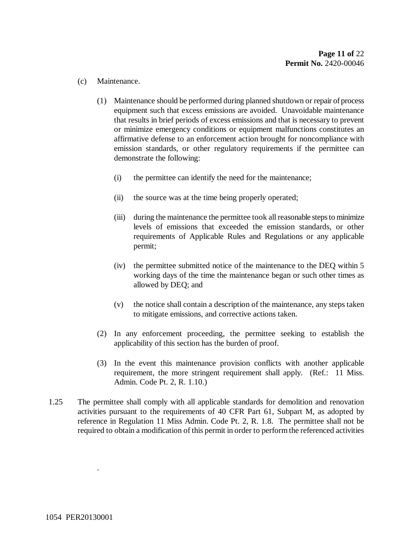- (c) Maintenance.
	- (1) Maintenance should be performed during planned shutdown or repair of process equipment such that excess emissions are avoided. Unavoidable maintenance that results in brief periods of excess emissions and that is necessary to prevent or minimize emergency conditions or equipment malfunctions constitutes an affirmative defense to an enforcement action brought for noncompliance with emission standards, or other regulatory requirements if the permittee can demonstrate the following:
		- (i) the permittee can identify the need for the maintenance;
		- (ii) the source was at the time being properly operated;
		- (iii) during the maintenance the permittee took allreasonable steps to minimize levels of emissions that exceeded the emission standards, or other requirements of Applicable Rules and Regulations or any applicable permit;
		- (iv) the permittee submitted notice of the maintenance to the DEQ within 5 working days of the time the maintenance began or such other times as allowed by DEQ; and
		- (v) the notice shall contain a description of the maintenance, any steps taken to mitigate emissions, and corrective actions taken.
	- (2) In any enforcement proceeding, the permittee seeking to establish the applicability of this section has the burden of proof.
	- (3) In the event this maintenance provision conflicts with another applicable requirement, the more stringent requirement shall apply. (Ref.: 11 Miss. Admin. Code Pt. 2, R. 1.10.)
- 1.25 The permittee shall comply with all applicable standards for demolition and renovation activities pursuant to the requirements of 40 CFR Part 61, Subpart M, as adopted by reference in Regulation 11 Miss Admin. Code Pt. 2, R. 1.8. The permittee shall not be required to obtain a modification of this permit in order to perform the referenced activities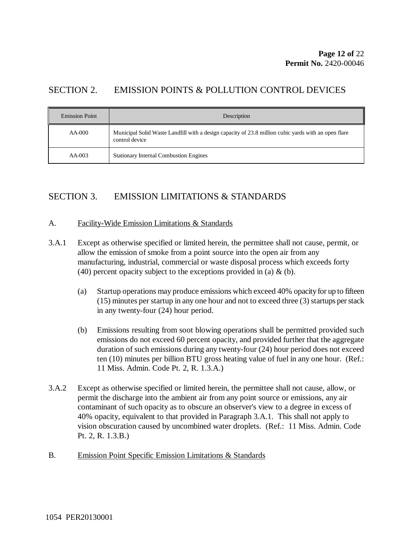### SECTION 2. EMISSION POINTS & POLLUTION CONTROL DEVICES

| <b>Emission Point</b> | Description                                                                                                            |
|-----------------------|------------------------------------------------------------------------------------------------------------------------|
| $AA-000$              | Municipal Solid Waste Landfill with a design capacity of 23.8 million cubic yards with an open flare<br>control device |
| AA-003                | <b>Stationary Internal Combustion Engines</b>                                                                          |

# SECTION 3. EMISSION LIMITATIONS & STANDARDS

#### A. Facility-Wide Emission Limitations & Standards

- 3.A.1 Except as otherwise specified or limited herein, the permittee shall not cause, permit, or allow the emission of smoke from a point source into the open air from any manufacturing, industrial, commercial or waste disposal process which exceeds forty (40) percent opacity subject to the exceptions provided in (a)  $\&$  (b).
	- (a) Startup operations may produce emissions which exceed 40% opacity for up to fifteen (15) minutes per startup in any one hour and not to exceed three (3) startups per stack in any twenty-four (24) hour period.
	- (b) Emissions resulting from soot blowing operations shall be permitted provided such emissions do not exceed 60 percent opacity, and provided further that the aggregate duration of such emissions during any twenty-four (24) hour period does not exceed ten (10) minutes per billion BTU gross heating value of fuel in any one hour. (Ref.: 11 Miss. Admin. Code Pt. 2, R. 1.3.A.)
- 3.A.2 Except as otherwise specified or limited herein, the permittee shall not cause, allow, or permit the discharge into the ambient air from any point source or emissions, any air contaminant of such opacity as to obscure an observer's view to a degree in excess of 40% opacity, equivalent to that provided in Paragraph 3.A.1. This shall not apply to vision obscuration caused by uncombined water droplets. (Ref.: 11 Miss. Admin. Code Pt. 2, R. 1.3.B.)
- B. Emission Point Specific Emission Limitations & Standards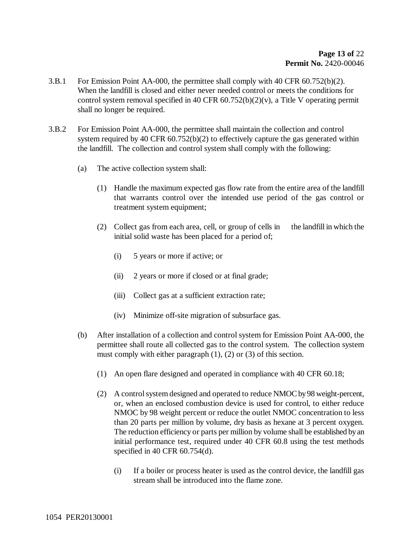- 3.B.1 For Emission Point AA-000, the permittee shall comply with 40 CFR 60.752(b)(2). When the landfill is closed and either never needed control or meets the conditions for control system removal specified in 40 CFR  $60.752(b)(2)(v)$ , a Title V operating permit shall no longer be required.
- 3.B.2 For Emission Point AA-000, the permittee shall maintain the collection and control system required by 40 CFR 60.752(b)(2) to effectively capture the gas generated within the landfill. The collection and control system shall comply with the following:
	- (a) The active collection system shall:
		- (1) Handle the maximum expected gas flow rate from the entire area of the landfill that warrants control over the intended use period of the gas control or treatment system equipment;
		- (2) Collect gas from each area, cell, or group of cells in the landfill in which the initial solid waste has been placed for a period of;
			- (i) 5 years or more if active; or
			- (ii) 2 years or more if closed or at final grade;
			- (iii) Collect gas at a sufficient extraction rate;
			- (iv) Minimize off-site migration of subsurface gas.
	- (b) After installation of a collection and control system for Emission Point AA-000, the permittee shall route all collected gas to the control system. The collection system must comply with either paragraph (1), (2) or (3) of this section.
		- (1) An open flare designed and operated in compliance with 40 CFR 60.18;
		- (2) A control system designed and operated to reduce NMOC by 98 weight-percent, or, when an enclosed combustion device is used for control, to either reduce NMOC by 98 weight percent or reduce the outlet NMOC concentration to less than 20 parts per million by volume, dry basis as hexane at 3 percent oxygen. The reduction efficiency or parts per million by volume shall be established by an initial performance test, required under 40 CFR 60.8 using the test methods specified in 40 CFR 60.754(d).
			- (i) If a boiler or process heater is used as the control device, the landfill gas stream shall be introduced into the flame zone.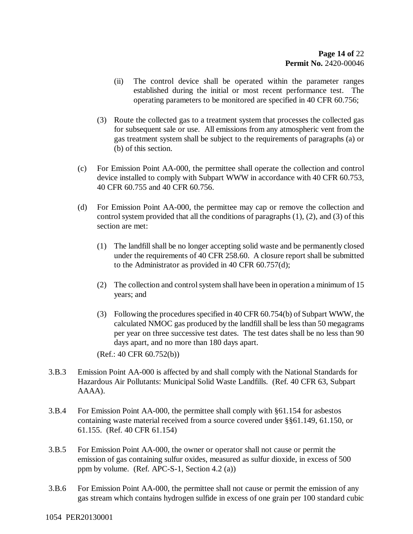- (ii) The control device shall be operated within the parameter ranges established during the initial or most recent performance test. The operating parameters to be monitored are specified in 40 CFR 60.756;
- (3) Route the collected gas to a treatment system that processes the collected gas for subsequent sale or use. All emissions from any atmospheric vent from the gas treatment system shall be subject to the requirements of paragraphs (a) or (b) of this section.
- (c) For Emission Point AA-000, the permittee shall operate the collection and control device installed to comply with Subpart WWW in accordance with 40 CFR 60.753, 40 CFR 60.755 and 40 CFR 60.756.
- (d) For Emission Point AA-000, the permittee may cap or remove the collection and control system provided that all the conditions of paragraphs (1), (2), and (3) of this section are met:
	- (1) The landfill shall be no longer accepting solid waste and be permanently closed under the requirements of 40 CFR 258.60. A closure report shall be submitted to the Administrator as provided in 40 CFR 60.757(d);
	- (2) The collection and control system shall have been in operation a minimum of 15 years; and
	- (3) Following the procedures specified in 40 CFR 60.754(b) of Subpart WWW, the calculated NMOC gas produced by the landfill shall be less than 50 megagrams per year on three successive test dates. The test dates shall be no less than 90 days apart, and no more than 180 days apart.

(Ref.: 40 CFR 60.752(b))

- 3.B.3 Emission Point AA-000 is affected by and shall comply with the National Standards for Hazardous Air Pollutants: Municipal Solid Waste Landfills. (Ref. 40 CFR 63, Subpart AAAA).
- 3.B.4 For Emission Point AA-000, the permittee shall comply with §61.154 for asbestos containing waste material received from a source covered under §§61.149, 61.150, or 61.155. (Ref. 40 CFR 61.154)
- 3.B.5 For Emission Point AA-000, the owner or operator shall not cause or permit the emission of gas containing sulfur oxides, measured as sulfur dioxide, in excess of 500 ppm by volume. (Ref. APC-S-1, Section 4.2 (a))
- 3.B.6 For Emission Point AA-000, the permittee shall not cause or permit the emission of any gas stream which contains hydrogen sulfide in excess of one grain per 100 standard cubic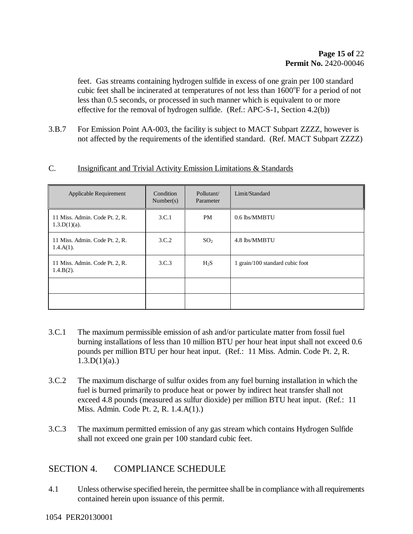feet. Gas streams containing hydrogen sulfide in excess of one grain per 100 standard cubic feet shall be incinerated at temperatures of not less than 1600°F for a period of not less than 0.5 seconds, or processed in such manner which is equivalent to or more effective for the removal of hydrogen sulfide. (Ref.: APC-S-1, Section 4.2(b))

3.B.7 For Emission Point AA-003, the facility is subject to MACT Subpart ZZZZ, however is not affected by the requirements of the identified standard. (Ref. MACT Subpart ZZZZ)

#### C. Insignificant and Trivial Activity Emission Limitations & Standards

| Applicable Requirement                            | Condition<br>Number(s) | Pollutant/<br>Parameter | Limit/Standard                  |
|---------------------------------------------------|------------------------|-------------------------|---------------------------------|
| 11 Miss. Admin. Code Pt. 2, R.<br>$1.3.D(1)(a)$ . | 3.C.1                  | <b>PM</b>               | 0.6 lbs/MMBTU                   |
| 11 Miss. Admin. Code Pt. 2, R.<br>$1.4.A(1)$ .    | 3.C.2                  | SO <sub>2</sub>         | 4.8 lbs/MMBTU                   |
| 11 Miss. Admin. Code Pt. 2, R.<br>$1.4.B(2)$ .    | 3.C.3                  | $H_2S$                  | 1 grain/100 standard cubic foot |
|                                                   |                        |                         |                                 |
|                                                   |                        |                         |                                 |

- 3.C.1 The maximum permissible emission of ash and/or particulate matter from fossil fuel burning installations of less than 10 million BTU per hour heat input shall not exceed 0.6 pounds per million BTU per hour heat input. (Ref.: 11 Miss. Admin. Code Pt. 2, R.  $1.3.D(1)(a)$ .)
- 3.C.2 The maximum discharge of sulfur oxides from any fuel burning installation in which the fuel is burned primarily to produce heat or power by indirect heat transfer shall not exceed 4.8 pounds (measured as sulfur dioxide) per million BTU heat input. (Ref.: 11 Miss. Admin. Code Pt. 2, R. 1.4.A(1).)
- 3.C.3 The maximum permitted emission of any gas stream which contains Hydrogen Sulfide shall not exceed one grain per 100 standard cubic feet.

### SECTION 4. COMPLIANCE SCHEDULE

4.1 Unless otherwise specified herein, the permittee shall be in compliance with all requirements contained herein upon issuance of this permit.

#### 1054 PER20130001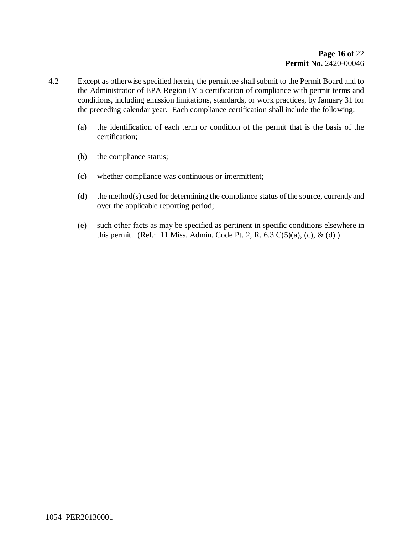- 4.2 Except as otherwise specified herein, the permittee shall submit to the Permit Board and to the Administrator of EPA Region IV a certification of compliance with permit terms and conditions, including emission limitations, standards, or work practices, by January 31 for the preceding calendar year. Each compliance certification shall include the following:
	- (a) the identification of each term or condition of the permit that is the basis of the certification;
	- (b) the compliance status;
	- (c) whether compliance was continuous or intermittent;
	- (d) the method(s) used for determining the compliance status of the source, currently and over the applicable reporting period;
	- (e) such other facts as may be specified as pertinent in specific conditions elsewhere in this permit. (Ref.: 11 Miss. Admin. Code Pt. 2, R.  $6.3.C(5)(a)$ , (c), & (d).)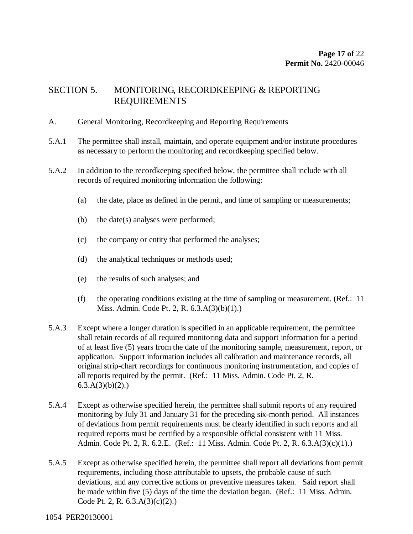# SECTION 5. MONITORING, RECORDKEEPING & REPORTING REQUIREMENTS

#### A. General Monitoring, Recordkeeping and Reporting Requirements

- 5.A.1 The permittee shall install, maintain, and operate equipment and/or institute procedures as necessary to perform the monitoring and recordkeeping specified below.
- 5.A.2 In addition to the recordkeeping specified below, the permittee shall include with all records of required monitoring information the following:
	- (a) the date, place as defined in the permit, and time of sampling or measurements;
	- (b) the date(s) analyses were performed;
	- (c) the company or entity that performed the analyses;
	- (d) the analytical techniques or methods used;
	- (e) the results of such analyses; and
	- (f) the operating conditions existing at the time of sampling or measurement. (Ref.: 11 Miss. Admin. Code Pt. 2, R. 6.3.A(3)(b)(1).)
- 5.A.3 Except where a longer duration is specified in an applicable requirement, the permittee shall retain records of all required monitoring data and support information for a period of at least five (5) years from the date of the monitoring sample, measurement, report, or application. Support information includes all calibration and maintenance records, all original strip-chart recordings for continuous monitoring instrumentation, and copies of all reports required by the permit. (Ref.: 11 Miss. Admin. Code Pt. 2, R.  $6.3.A(3)(b)(2)$ .
- 5.A.4 Except as otherwise specified herein, the permittee shall submit reports of any required monitoring by July 31 and January 31 for the preceding six-month period. All instances of deviations from permit requirements must be clearly identified in such reports and all required reports must be certified by a responsible official consistent with 11 Miss. Admin. Code Pt. 2, R. 6.2.E. (Ref.: 11 Miss. Admin. Code Pt. 2, R. 6.3.A(3)(c)(1).)
- 5.A.5 Except as otherwise specified herein, the permittee shall report all deviations from permit requirements, including those attributable to upsets, the probable cause of such deviations, and any corrective actions or preventive measures taken. Said report shall be made within five (5) days of the time the deviation began. (Ref.: 11 Miss. Admin. Code Pt. 2, R. 6.3.A(3)(c)(2).)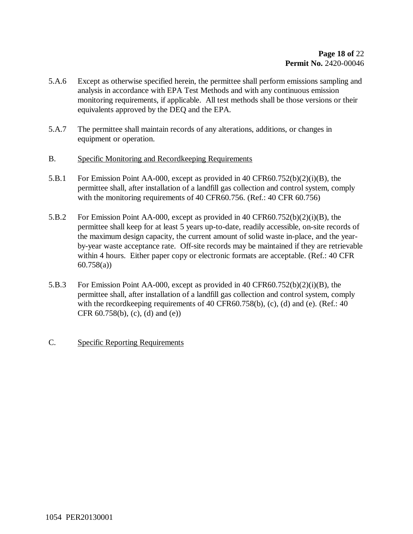- 5.A.6 Except as otherwise specified herein, the permittee shall perform emissions sampling and analysis in accordance with EPA Test Methods and with any continuous emission monitoring requirements, if applicable. All test methods shall be those versions or their equivalents approved by the DEQ and the EPA.
- 5.A.7 The permittee shall maintain records of any alterations, additions, or changes in equipment or operation.

#### B. Specific Monitoring and Recordkeeping Requirements

- 5.B.1 For Emission Point AA-000, except as provided in 40 CFR60.752(b)(2)(i)(B), the permittee shall, after installation of a landfill gas collection and control system, comply with the monitoring requirements of 40 CFR60.756. (Ref.: 40 CFR 60.756)
- 5.B.2 For Emission Point AA-000, except as provided in 40 CFR60.752(b)(2)(i)(B), the permittee shall keep for at least 5 years up-to-date, readily accessible, on-site records of the maximum design capacity, the current amount of solid waste in-place, and the yearby-year waste acceptance rate. Off-site records may be maintained if they are retrievable within 4 hours. Either paper copy or electronic formats are acceptable. (Ref.: 40 CFR 60.758(a))
- 5.B.3 For Emission Point AA-000, except as provided in 40 CFR60.752(b)(2)(i)(B), the permittee shall, after installation of a landfill gas collection and control system, comply with the recordkeeping requirements of 40 CFR60.758(b), (c), (d) and (e). (Ref.: 40 CFR 60.758(b), (c), (d) and (e))

#### C. Specific Reporting Requirements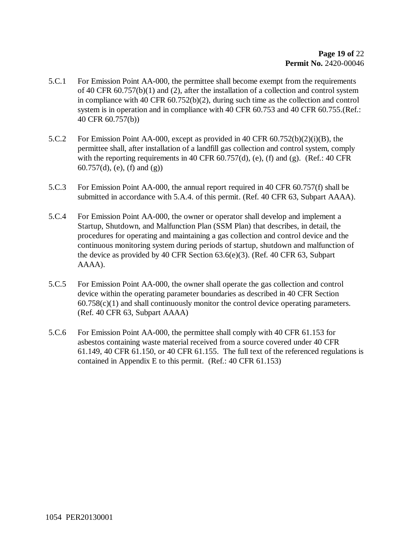- 5.C.1 For Emission Point AA-000, the permittee shall become exempt from the requirements of 40 CFR 60.757(b)(1) and (2), after the installation of a collection and control system in compliance with 40 CFR 60.752(b)(2), during such time as the collection and control system is in operation and in compliance with 40 CFR 60.753 and 40 CFR 60.755.(Ref.: 40 CFR 60.757(b))
- 5.C.2 For Emission Point AA-000, except as provided in 40 CFR 60.752(b)(2)(i)(B), the permittee shall, after installation of a landfill gas collection and control system, comply with the reporting requirements in 40 CFR 60.757(d), (e), (f) and (g). (Ref.: 40 CFR 60.757(d), (e), (f) and (g))
- 5.C.3 For Emission Point AA-000, the annual report required in 40 CFR 60.757(f) shall be submitted in accordance with 5.A.4. of this permit. (Ref. 40 CFR 63, Subpart AAAA).
- 5.C.4 For Emission Point AA-000, the owner or operator shall develop and implement a Startup, Shutdown, and Malfunction Plan (SSM Plan) that describes, in detail, the procedures for operating and maintaining a gas collection and control device and the continuous monitoring system during periods of startup, shutdown and malfunction of the device as provided by 40 CFR Section 63.6(e)(3). (Ref. 40 CFR 63, Subpart AAAA).
- 5.C.5 For Emission Point AA-000, the owner shall operate the gas collection and control device within the operating parameter boundaries as described in 40 CFR Section  $60.758(c)(1)$  and shall continuously monitor the control device operating parameters. (Ref. 40 CFR 63, Subpart AAAA)
- 5.C.6 For Emission Point AA-000, the permittee shall comply with 40 CFR 61.153 for asbestos containing waste material received from a source covered under 40 CFR 61.149, 40 CFR 61.150, or 40 CFR 61.155. The full text of the referenced regulations is contained in Appendix E to this permit. (Ref.: 40 CFR 61.153)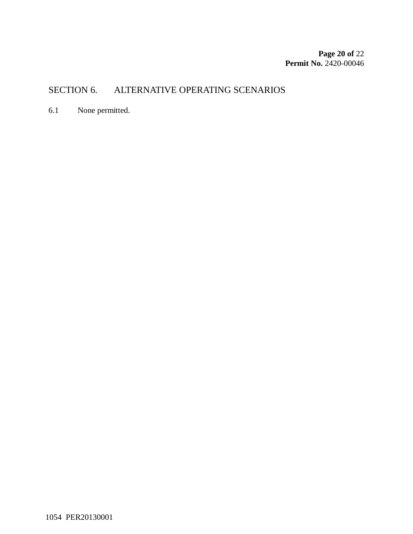**Page 20 of** 22 **Permit No.** 2420-00046

# SECTION 6. ALTERNATIVE OPERATING SCENARIOS

6.1 None permitted.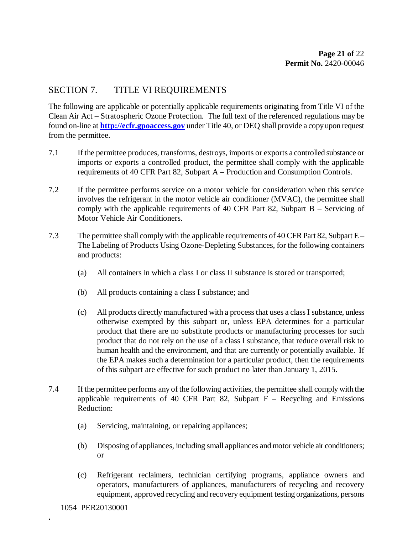# SECTION 7. TITLE VI REQUIREMENTS

The following are applicable or potentially applicable requirements originating from Title VI of the Clean Air Act – Stratospheric Ozone Protection. The full text of the referenced regulations may be found on-line at **http://ecfr.gpoaccess.gov** under Title 40, or DEQ shall provide a copy upon request from the permittee.

- 7.1 If the permittee produces, transforms, destroys, imports or exports a controlled substance or imports or exports a controlled product, the permittee shall comply with the applicable requirements of 40 CFR Part 82, Subpart A – Production and Consumption Controls.
- 7.2 If the permittee performs service on a motor vehicle for consideration when this service involves the refrigerant in the motor vehicle air conditioner (MVAC), the permittee shall comply with the applicable requirements of 40 CFR Part 82, Subpart B – Servicing of Motor Vehicle Air Conditioners.
- 7.3 The permittee shall comply with the applicable requirements of 40 CFR Part 82, Subpart E The Labeling of Products Using Ozone-Depleting Substances, for the following containers and products:
	- (a) All containers in which a class I or class II substance is stored or transported;
	- (b) All products containing a class I substance; and
	- (c) All products directly manufactured with a process that uses a class I substance, unless otherwise exempted by this subpart or, unless EPA determines for a particular product that there are no substitute products or manufacturing processes for such product that do not rely on the use of a class I substance, that reduce overall risk to human health and the environment, and that are currently or potentially available. If the EPA makes such a determination for a particular product, then the requirements of this subpart are effective for such product no later than January 1, 2015.
- 7.4 If the permittee performs any of the following activities, the permittee shall comply with the applicable requirements of 40 CFR Part 82, Subpart  $F -$  Recycling and Emissions Reduction:
	- (a) Servicing, maintaining, or repairing appliances;
	- (b) Disposing of appliances, including small appliances and motor vehicle air conditioners; or
	- (c) Refrigerant reclaimers, technician certifying programs, appliance owners and operators, manufacturers of appliances, manufacturers of recycling and recovery equipment, approved recycling and recovery equipment testing organizations, persons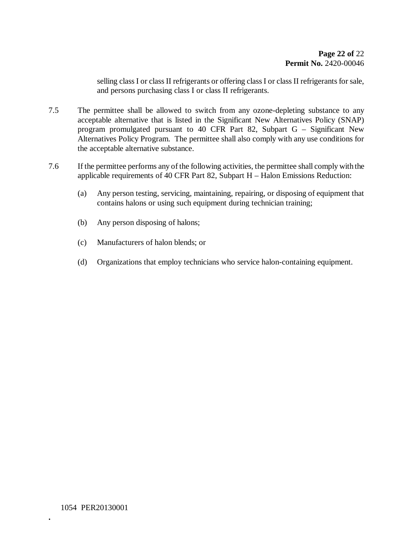selling class I or class II refrigerants or offering class I or class II refrigerants for sale, and persons purchasing class I or class II refrigerants.

- 7.5 The permittee shall be allowed to switch from any ozone-depleting substance to any acceptable alternative that is listed in the Significant New Alternatives Policy (SNAP) program promulgated pursuant to 40 CFR Part 82, Subpart G – Significant New Alternatives Policy Program. The permittee shall also comply with any use conditions for the acceptable alternative substance.
- 7.6 If the permittee performs any of the following activities, the permittee shall comply with the applicable requirements of 40 CFR Part 82, Subpart H – Halon Emissions Reduction:
	- (a) Any person testing, servicing, maintaining, repairing, or disposing of equipment that contains halons or using such equipment during technician training;
	- (b) Any person disposing of halons;
	- (c) Manufacturers of halon blends; or
	- (d) Organizations that employ technicians who service halon-containing equipment.